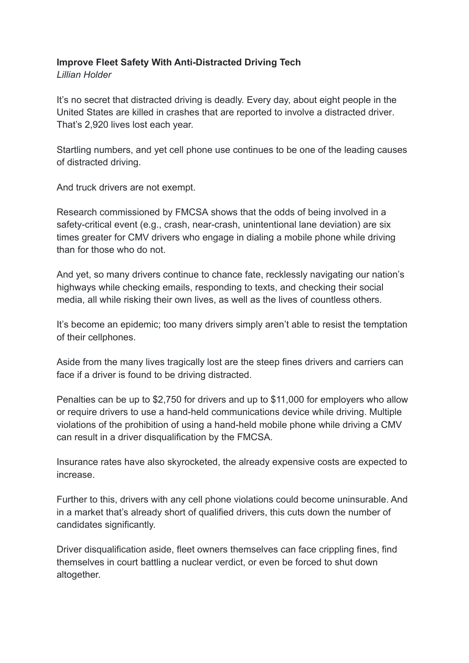## **Improve Fleet Safety With Anti-Distracted Driving Tech**

*Lillian Holder*

It's no secret that distracted driving is deadly. Every day, about [eight people in the](https://www.cdc.gov/transportationsafety/distracted_driving/index.html#:~:text=Every%20day%20about%208%20people,to%20involve%20a%20distracted%20driver.&text=Distracted%20driving%20is%20driving%20while,of%20a%20motor%20vehicle%20crash.) [United States are killed in crashes that are reported to involve a distracted driver](https://www.cdc.gov/transportationsafety/distracted_driving/index.html#:~:text=Every%20day%20about%208%20people,to%20involve%20a%20distracted%20driver.&text=Distracted%20driving%20is%20driving%20while,of%20a%20motor%20vehicle%20crash.). That's 2,920 lives lost each year.

Startling numbers, and yet cell phone use continues to be one of the leading causes of distracted driving.

And truck drivers are not exempt.

R[esearch commissioned by FMCSA](https://www.ccjdigital.com/technology/article/15066745/distracted-driving-what-drivers-who-crash-are-looking-at) shows that the odds of being involved in a safety-critical event (e.g., crash, near-crash, unintentional lane deviation) are six times greater for CMV drivers who engage in dialing a mobile phone while driving than for those who do not.

And yet, so many drivers continue to chance fate, recklessly navigating our nation's highways while checking emails, responding to texts, and checking their social media, all while risking their own lives, as well as the lives of countless others.

It's become an epidemic; too many drivers simply aren't able to resist the temptation of their cellphones.

Aside from the many lives tragically lost are the steep fines drivers and carriers can face if a driver is found to be driving distracted.

Penalties can be up to \$2,750 for drivers and up to \$11,000 for employers who allow or require drivers to use a hand-held communications device while driving. Multiple violations of the prohibition of using a hand-held mobile phone while driving a CMV can result in a driver disqualification by the FMCSA.

Insurance rates have also skyrocketed, the already expensive costs are expected to increase.

Further to this, drivers with any cell phone violations could become uninsurable. And in a market that's already short of qualified drivers, this cuts down the number of candidates significantly.

Driver disqualification aside, fleet owners themselves can face crippling fines, find themselves in court battling a nuclear verdict, or even be forced to shut down altogether.